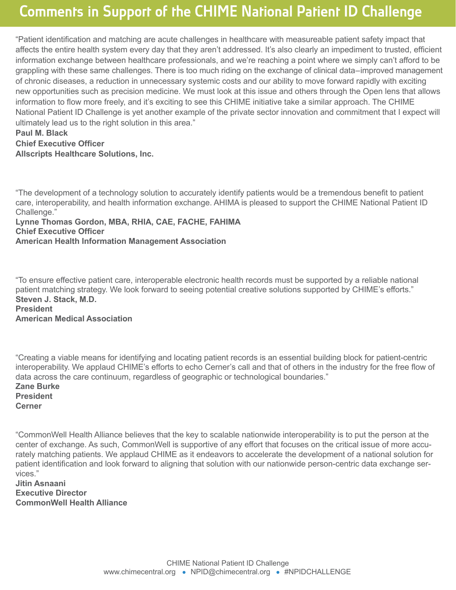## Comments in Support of the CHIME National Patient ID Challenge

"Patient identification and matching are acute challenges in healthcare with measureable patient safety impact that affects the entire health system every day that they aren't addressed. It's also clearly an impediment to trusted, efficient information exchange between healthcare professionals, and we're reaching a point where we simply can't afford to be grappling with these same challenges. There is too much riding on the exchange of clinical data–improved management of chronic diseases, a reduction in unnecessary systemic costs and our ability to move forward rapidly with exciting new opportunities such as precision medicine. We must look at this issue and others through the Open lens that allows information to flow more freely, and it's exciting to see this CHIME initiative take a similar approach. The CHIME National Patient ID Challenge is yet another example of the private sector innovation and commitment that I expect will ultimately lead us to the right solution in this area."

## **Paul M. Black Chief Executive Officer Allscripts Healthcare Solutions, Inc.**

"The development of a technology solution to accurately identify patients would be a tremendous benefit to patient care, interoperability, and health information exchange. AHIMA is pleased to support the CHIME National Patient ID Challenge."

**Lynne Thomas Gordon, MBA, RHIA, CAE, FACHE, FAHIMA Chief Executive Officer American Health Information Management Association**

"To ensure effective patient care, interoperable electronic health records must be supported by a reliable national patient matching strategy. We look forward to seeing potential creative solutions supported by CHIME's efforts." **Steven J. Stack, M.D. President American Medical Association**

"Creating a viable means for identifying and locating patient records is an essential building block for patient-centric interoperability. We applaud CHIME's efforts to echo Cerner's call and that of others in the industry for the free flow of data across the care continuum, regardless of geographic or technological boundaries." **Zane Burke President**

**Cerner**

"CommonWell Health Alliance believes that the key to scalable nationwide interoperability is to put the person at the center of exchange. As such, CommonWell is supportive of any effort that focuses on the critical issue of more accurately matching patients. We applaud CHIME as it endeavors to accelerate the development of a national solution for patient identification and look forward to aligning that solution with our nationwide person-centric data exchange services."

**Jitin Asnaani Executive Director CommonWell Health Alliance**